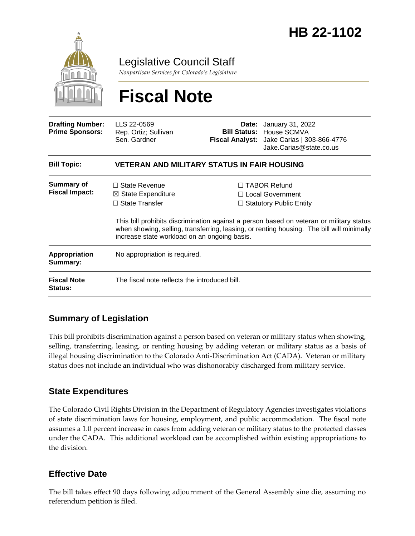

Legislative Council Staff

*Nonpartisan Services for Colorado's Legislature*

# **Fiscal Note**

| <b>Drafting Number:</b><br><b>Prime Sponsors:</b> | LLS 22-0569<br>Rep. Ortiz; Sullivan<br>Sen. Gardner                                                                            |  | <b>Date:</b> January 31, 2022<br><b>Bill Status: House SCMVA</b><br>Fiscal Analyst: Jake Carias   303-866-4776<br>Jake.Carias@state.co.us                                                                                                                                |  |
|---------------------------------------------------|--------------------------------------------------------------------------------------------------------------------------------|--|--------------------------------------------------------------------------------------------------------------------------------------------------------------------------------------------------------------------------------------------------------------------------|--|
| <b>Bill Topic:</b>                                | <b>VETERAN AND MILITARY STATUS IN FAIR HOUSING</b>                                                                             |  |                                                                                                                                                                                                                                                                          |  |
| <b>Summary of</b><br><b>Fiscal Impact:</b>        | $\Box$ State Revenue<br>$\boxtimes$ State Expenditure<br>$\Box$ State Transfer<br>increase state workload on an ongoing basis. |  | $\Box$ TABOR Refund<br>$\Box$ Local Government<br>$\Box$ Statutory Public Entity<br>This bill prohibits discrimination against a person based on veteran or military status<br>when showing, selling, transferring, leasing, or renting housing. The bill will minimally |  |
| Appropriation<br>Summary:                         | No appropriation is required.                                                                                                  |  |                                                                                                                                                                                                                                                                          |  |
| <b>Fiscal Note</b><br><b>Status:</b>              | The fiscal note reflects the introduced bill.                                                                                  |  |                                                                                                                                                                                                                                                                          |  |

### **Summary of Legislation**

This bill prohibits discrimination against a person based on veteran or military status when showing, selling, transferring, leasing, or renting housing by adding veteran or military status as a basis of illegal housing discrimination to the Colorado Anti-Discrimination Act (CADA). Veteran or military status does not include an individual who was dishonorably discharged from military service.

#### **State Expenditures**

The Colorado Civil Rights Division in the Department of Regulatory Agencies investigates violations of state discrimination laws for housing, employment, and public accommodation.The fiscal note assumes a 1.0 percent increase in cases from adding veteran or military status to the protected classes under the CADA. This additional workload can be accomplished within existing appropriations to the division.

#### **Effective Date**

The bill takes effect 90 days following adjournment of the General Assembly sine die, assuming no referendum petition is filed.